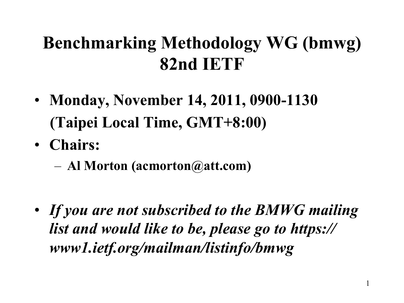#### **Benchmarking Methodology WG (bmwg) 82nd IETF**

- **Monday, November 14, 2011, 0900-1130 (Taipei Local Time, GMT+8:00)**
- **Chairs:** 
	- **Al Morton (acmorton@att.com)**
- *If you are not subscribed to the BMWG mailing list and would like to be, please go to https:// www1.ietf.org/mailman/listinfo/bmwg*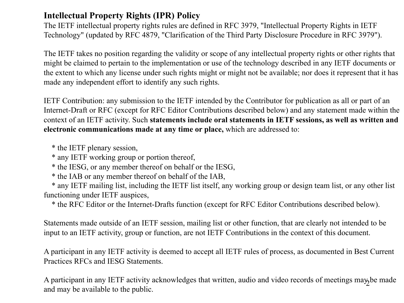#### **Intellectual Property Rights (IPR) Policy**

The IETF intellectual property rights rules are defined in RFC 3979, "Intellectual Property Rights in IETF Technology" (updated by RFC 4879, "Clarification of the Third Party Disclosure Procedure in RFC 3979").

The IETF takes no position regarding the validity or scope of any intellectual property rights or other rights that might be claimed to pertain to the implementation or use of the technology described in any IETF documents or the extent to which any license under such rights might or might not be available; nor does it represent that it has made any independent effort to identify any such rights.

IETF Contribution: any submission to the IETF intended by the Contributor for publication as all or part of an Internet-Draft or RFC (except for RFC Editor Contributions described below) and any statement made within the context of an IETF activity. Such **statements include oral statements in IETF sessions, as well as written and electronic communications made at any time or place,** which are addressed to:

\* the IETF plenary session,

\* any IETF working group or portion thereof,

\* the IESG, or any member thereof on behalf or the IESG,

\* the IAB or any member thereof on behalf of the IAB,

 \* any IETF mailing list, including the IETF list itself, any working group or design team list, or any other list functioning under IETF auspices,

\* the RFC Editor or the Internet-Drafts function (except for RFC Editor Contributions described below).

Statements made outside of an IETF session, mailing list or other function, that are clearly not intended to be input to an IETF activity, group or function, are not IETF Contributions in the context of this document.

A participant in any IETF activity is deemed to accept all IETF rules of process, as documented in Best Current Practices RFCs and IESG Statements.

A participant in any IETF activity acknowledges that written, audio and video records of meetings may be made and may be available to the public.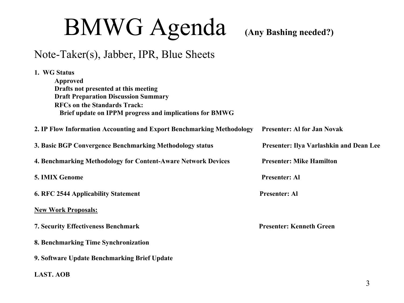# BMWG Agenda **(Any Bashing needed?)**

#### Note-Taker(s), Jabber, IPR, Blue Sheets

| 1. WG Status                                                          |                                         |
|-----------------------------------------------------------------------|-----------------------------------------|
| Approved                                                              |                                         |
| Drafts not presented at this meeting                                  |                                         |
| <b>Draft Preparation Discussion Summary</b>                           |                                         |
| <b>RFCs on the Standards Track:</b>                                   |                                         |
| Brief update on IPPM progress and implications for BMWG               |                                         |
| 2. IP Flow Information Accounting and Export Benchmarking Methodology | <b>Presenter: Al for Jan Novak</b>      |
| 3. Basic BGP Convergence Benchmarking Methodology status              | Presenter: Ilya Varlashkin and Dean Lee |
| 4. Benchmarking Methodology for Content-Aware Network Devices         | <b>Presenter: Mike Hamilton</b>         |
| 5. IMIX Genome                                                        | <b>Presenter: Al</b>                    |
| <b>6. RFC 2544 Applicability Statement</b>                            | <b>Presenter: Al</b>                    |
| <b>New Work Proposals:</b>                                            |                                         |
| <b>7. Security Effectiveness Benchmark</b>                            | <b>Presenter: Kenneth Green</b>         |
| 8. Benchmarking Time Synchronization                                  |                                         |
| 9. Software Update Benchmarking Brief Update                          |                                         |
| <b>LAST. AOB</b>                                                      |                                         |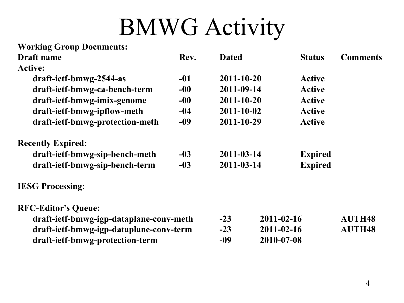### BMWG Activity

| <b>Working Group Documents:</b>         |       |                  |  |                  |                 |
|-----------------------------------------|-------|------------------|--|------------------|-----------------|
| Draft name                              | Rev.  | <b>Dated</b>     |  | <b>Status</b>    | <b>Comments</b> |
| <b>Active:</b>                          |       |                  |  |                  |                 |
| draft-ietf-bmwg-2544-as                 | -01   | 2011-10-20       |  | Active           |                 |
| draft-ietf-bmwg-ca-bench-term           | $-00$ | 2011-09-14       |  | <b>Active</b>    |                 |
| draft-ietf-bmwg-imix-genome             | $-00$ | 2011-10-20       |  | <b>Active</b>    |                 |
| draft-ietf-bmwg-ipflow-meth             | $-04$ | $2011 - 10 - 02$ |  | <b>Active</b>    |                 |
| draft-ietf-bmwg-protection-meth         | $-09$ | 2011-10-29       |  | <b>Active</b>    |                 |
| <b>Recently Expired:</b>                |       |                  |  |                  |                 |
| draft-ietf-bmwg-sip-bench-meth          | $-03$ | 2011-03-14       |  | <b>Expired</b>   |                 |
| draft-ietf-bmwg-sip-bench-term          | $-03$ | 2011-03-14       |  | <b>Expired</b>   |                 |
| <b>IESG Processing:</b>                 |       |                  |  |                  |                 |
| <b>RFC-Editor's Queue:</b>              |       |                  |  |                  |                 |
| draft-ietf-bmwg-igp-dataplane-conv-meth |       | $-23$            |  | $2011 - 02 - 16$ | <b>AUTH48</b>   |
| draft-ietf-bmwg-igp-dataplane-conv-term |       | $-23$            |  | 2011-02-16       | <b>AUTH48</b>   |
| draft-ietf-bmwg-protection-term         |       | -09              |  | 2010-07-08       |                 |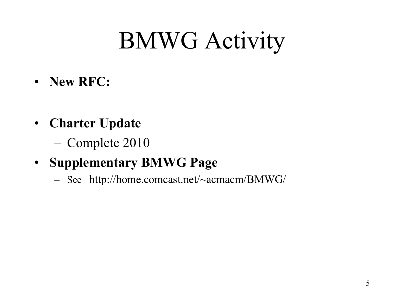# BMWG Activity

- **New RFC:**
- **Charter Update** 
	- Complete 2010
- **Supplementary BMWG Page** 
	- See http://home.comcast.net/~acmacm/BMWG/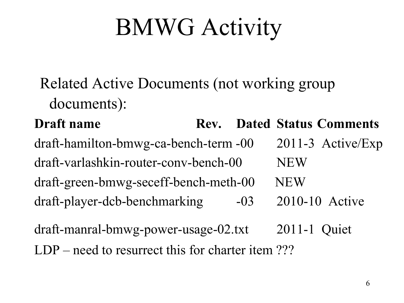# BMWG Activity

Related Active Documents (not working group documents):

**Draft name Status** Rev. Dated Status Comments draft-hamilton-bmwg-ca-bench-term -00 2011-3 Active/Exp draft-varlashkin-router-conv-bench-00 NEW draft-green-bmwg-seceff-bench-meth-00 NEW draft-player-dcb-benchmarking -03 2010-10 Active

draft-manral-bmwg-power-usage-02.txt 2011-1 Quiet LDP – need to resurrect this for charter item ???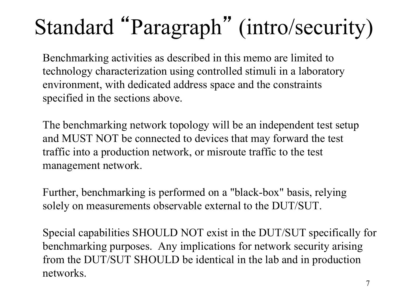### Standard "Paragraph" (intro/security)

 Benchmarking activities as described in this memo are limited to technology characterization using controlled stimuli in a laboratory environment, with dedicated address space and the constraints specified in the sections above.

 The benchmarking network topology will be an independent test setup and MUST NOT be connected to devices that may forward the test traffic into a production network, or misroute traffic to the test management network.

 Further, benchmarking is performed on a "black-box" basis, relying solely on measurements observable external to the DUT/SUT.

 Special capabilities SHOULD NOT exist in the DUT/SUT specifically for benchmarking purposes. Any implications for network security arising from the DUT/SUT SHOULD be identical in the lab and in production networks.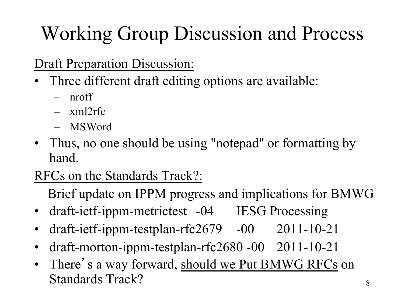#### Working Group Discussion and Process

#### Draft Preparation Discussion:

- Three different draft editing options are available:
	- nroff
	- xml2rfc
	- MSWord
- Thus, no one should be using "notepad" or formatting by hand.

#### RFCs on the Standards Track?:

Brief update on IPPM progress and implications for BMWG

- draft-ietf-ippm-metrictest -04 IESG Processing
- draft-ietf-ippm-testplan-rfc2679 -00 2011-10-21
- draft-morton-ippm-testplan-rfc2680 -00 2011-10-21
- There's a way forward, should we Put BMWG RFCs on Standards Track?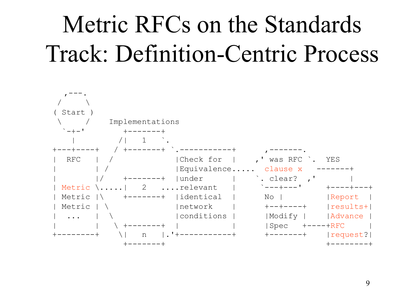# Metric RFCs on the Standards Track: Definition-Centric Process

| Start                      |                            |                 |
|----------------------------|----------------------------|-----------------|
| Implementations            |                            |                 |
| $- + -$ <sup>1</sup>       |                            |                 |
|                            |                            |                 |
|                            |                            |                 |
| Check for<br>RFC           | was RFC                    | YES             |
| Equivalence                | clause x                   |                 |
| under<br>$+ - - - - - - +$ | . clear?<br>$\overline{a}$ |                 |
| 2<br>relevant<br>Metric    | $\degree$ ---+--- '        | $+ - - - - +$   |
| identical<br>Metric        | $NO$                       | Report          |
| Metric<br>network          | $+ - - + - - - +$          | results+        |
| conditions<br>$\ddotsc$    | Modify                     | Advance         |
| $+ - - - - - - +$          | Spec                       | $+ - - - + RFC$ |
| n                          |                            | request?        |
|                            |                            |                 |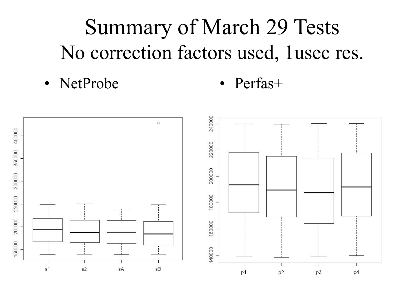#### Summary of March 29 Tests No correction factors used, 1usec res.

• NetProbe • Perfas+

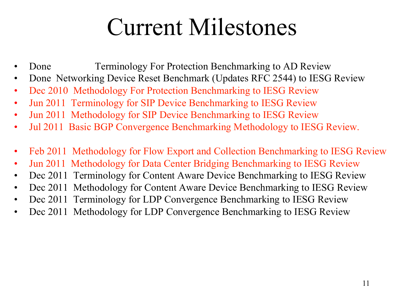#### Current Milestones

- **Franchild** Done Terminology For Protection Benchmarking to AD Review
- Done Networking Device Reset Benchmark (Updates RFC 2544) to IESG Review
- Dec 2010 Methodology For Protection Benchmarking to IESG Review
- Jun 2011 Terminology for SIP Device Benchmarking to IESG Review
- Jun 2011 Methodology for SIP Device Benchmarking to IESG Review
- Jul 2011 Basic BGP Convergence Benchmarking Methodology to IESG Review.
- Feb 2011 Methodology for Flow Export and Collection Benchmarking to IESG Review
- Jun 2011 Methodology for Data Center Bridging Benchmarking to IESG Review
- Dec 2011 Terminology for Content Aware Device Benchmarking to IESG Review
- Dec 2011 Methodology for Content Aware Device Benchmarking to IESG Review
- Dec 2011 Terminology for LDP Convergence Benchmarking to IESG Review
- Dec 2011 Methodology for LDP Convergence Benchmarking to IESG Review